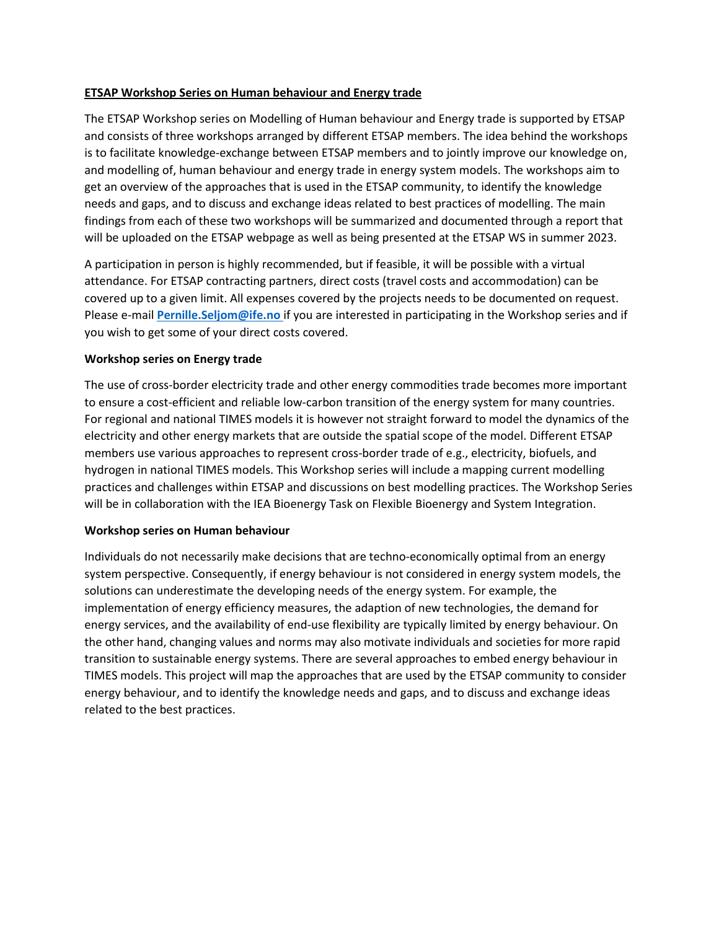# **ETSAP Workshop Series on Human behaviour and Energy trade**

The ETSAP Workshop series on Modelling of Human behaviour and Energy trade is supported by ETSAP and consists of three workshops arranged by different ETSAP members. The idea behind the workshops is to facilitate knowledge‐exchange between ETSAP members and to jointly improve our knowledge on, and modelling of, human behaviour and energy trade in energy system models. The workshops aim to get an overview of the approaches that is used in the ETSAP community, to identify the knowledge needs and gaps, and to discuss and exchange ideas related to best practices of modelling. The main findings from each of these two workshops will be summarized and documented through a report that will be uploaded on the ETSAP webpage as well as being presented at the ETSAP WS in summer 2023.

A participation in person is highly recommended, but if feasible, it will be possible with a virtual attendance. For ETSAP contracting partners, direct costs (travel costs and accommodation) can be covered up to a given limit. All expenses covered by the projects needs to be documented on request. Please e-mail **[Pernille.Seljom@ife.no](mailto:Pernille.Seljom@ife.no)** if you are interested in participating in the Workshop series and if you wish to get some of your direct costs covered.

# **Workshop series on Energy trade**

The use of cross-border electricity trade and other energy commodities trade becomes more important to ensure a cost-efficient and reliable low-carbon transition of the energy system for many countries. For regional and national TIMES models it is however not straight forward to model the dynamics of the electricity and other energy markets that are outside the spatial scope of the model. Different ETSAP members use various approaches to represent cross-border trade of e.g., electricity, biofuels, and hydrogen in national TIMES models. This Workshop series will include a mapping current modelling practices and challenges within ETSAP and discussions on best modelling practices. The Workshop Series will be in collaboration with the IEA Bioenergy Task on Flexible Bioenergy and System Integration.

#### **Workshop series on Human behaviour**

Individuals do not necessarily make decisions that are techno‐economically optimal from an energy system perspective. Consequently, if energy behaviour is not considered in energy system models, the solutions can underestimate the developing needs of the energy system. For example, the implementation of energy efficiency measures, the adaption of new technologies, the demand for energy services, and the availability of end-use flexibility are typically limited by energy behaviour. On the other hand, changing values and norms may also motivate individuals and societies for more rapid transition to sustainable energy systems. There are several approaches to embed energy behaviour in TIMES models. This project will map the approaches that are used by the ETSAP community to consider energy behaviour, and to identify the knowledge needs and gaps, and to discuss and exchange ideas related to the best practices.